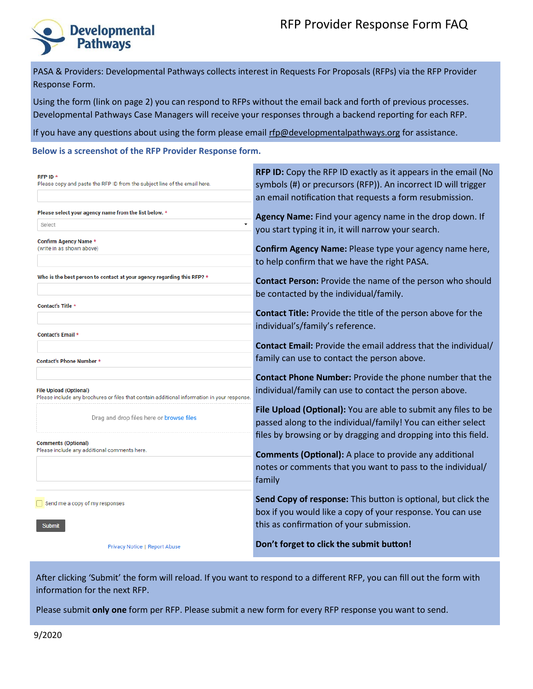# RFP Provider Response Form FAQ



PASA & Providers: Developmental Pathways collects interest in Requests For Proposals (RFPs) via the RFP Provider Response Form.

Using the form (link on page 2) you can respond to RFPs without the email back and forth of previous processes. Developmental Pathways Case Managers will receive your responses through a backend reporting for each RFP.

If you have any questions about using the form please email [rfp@developmentalpathways.org](mailto:rfp@developmentalpathways.org) for assistance.

#### **Below is a screenshot of the RFP Provider Response form.**

| RFP ID *<br>Please copy and paste the RFP ID from the subject line of the email here.                                        | <b>RFP ID:</b> Copy the RFP ID exactly as it appears in the email (No<br>symbols (#) or precursors (RFP)). An incorrect ID will trigger<br>an email notification that requests a form resubmission. |
|------------------------------------------------------------------------------------------------------------------------------|-----------------------------------------------------------------------------------------------------------------------------------------------------------------------------------------------------|
| Please select your agency name from the list below. *<br>Select                                                              | Agency Name: Find your agency name in the drop down. If                                                                                                                                             |
| Confirm Agency Name *<br>(write in as shown above)                                                                           | you start typing it in, it will narrow your search.<br>Confirm Agency Name: Please type your agency name here,                                                                                      |
|                                                                                                                              | to help confirm that we have the right PASA.                                                                                                                                                        |
| Who is the best person to contact at your agency regarding this RFP? *                                                       | <b>Contact Person:</b> Provide the name of the person who should<br>be contacted by the individual/family.                                                                                          |
| Contact's Title *                                                                                                            | <b>Contact Title:</b> Provide the title of the person above for the                                                                                                                                 |
| <b>Contact's Email *</b>                                                                                                     | individual's/family's reference.                                                                                                                                                                    |
| Contact's Phone Number *                                                                                                     | Contact Email: Provide the email address that the individual/<br>family can use to contact the person above.                                                                                        |
| <b>File Upload (Optional)</b><br>Please include any brochures or files that contain additional information in your response. | Contact Phone Number: Provide the phone number that the<br>individual/family can use to contact the person above.                                                                                   |
| Drag and drop files here or browse files                                                                                     | File Upload (Optional): You are able to submit any files to be<br>passed along to the individual/family! You can either select                                                                      |
| <b>Comments (Optional)</b><br>Please include any additional comments here.                                                   | files by browsing or by dragging and dropping into this field.<br><b>Comments (Optional):</b> A place to provide any additional                                                                     |
|                                                                                                                              | notes or comments that you want to pass to the individual/<br>family                                                                                                                                |
| Send me a copy of my responses<br><b>Submit</b>                                                                              | Send Copy of response: This button is optional, but click the<br>box if you would like a copy of your response. You can use<br>this as confirmation of your submission.                             |
| Privacy Notice   Report Abuse                                                                                                | Don't forget to click the submit button!                                                                                                                                                            |

After clicking 'Submit' the form will reload. If you want to respond to a different RFP, you can fill out the form with information for the next RFP.

Please submit **only one** form per RFP. Please submit a new form for every RFP response you want to send.